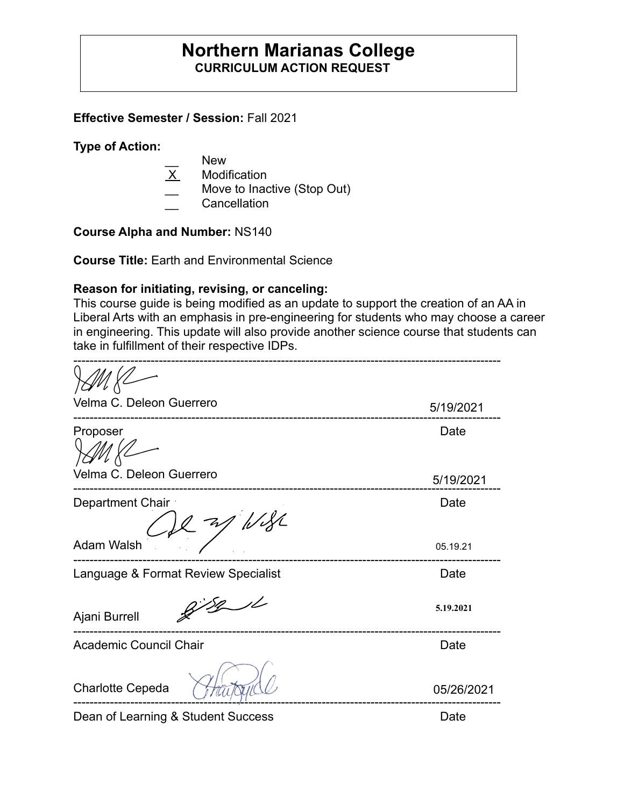# **Northern Marianas College CURRICULUM ACTION REQUEST**

**Effective Semester / Session:** Fall 2021

**Type of Action:** 

- New
- X Modification
- Move to Inactive (Stop Out)
- \_\_ Cancellation

**Course Alpha and Number:** NS140

**Course Title:** Earth and Environmental Science

### **Reason for initiating, revising, or canceling:**

This course guide is being modified as an update to support the creation of an AA in Liberal Arts with an emphasis in pre-engineering for students who may choose a career in engineering. This update will also provide another science course that students can take in fulfillment of their respective IDPs.

| Velma C. Deleon Guerrero            | 5/19/2021  |
|-------------------------------------|------------|
| Proposer                            | Date       |
| Velma C. Deleon Guerrero            | 5/19/2021  |
| Department Chair<br>1/82            | Date       |
| <b>Adam Walsh</b>                   | 05.19.21   |
| Language & Format Review Specialist | Date       |
| Ajani Burrell                       | 5.19.2021  |
| Academic Council Chair              | Date       |
| Charlotte Cepeda                    | 05/26/2021 |

Dean of Learning & Student Success Date Date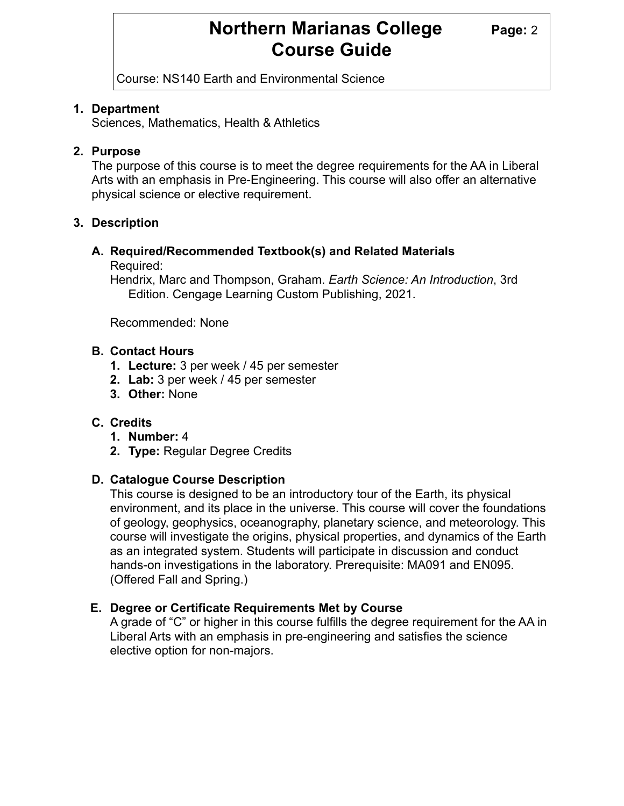# **Northern Marianas College Page: 2 Course Guide**

Course: NS140 Earth and Environmental Science

### **1. Department**

Sciences, Mathematics, Health & Athletics

### **2. Purpose**

The purpose of this course is to meet the degree requirements for the AA in Liberal Arts with an emphasis in Pre-Engineering. This course will also offer an alternative physical science or elective requirement.

# **3. Description**

# **A. Required/Recommended Textbook(s) and Related Materials**

Required:

Hendrix, Marc and Thompson, Graham. *Earth Science: An Introduction*, 3rd Edition. Cengage Learning Custom Publishing, 2021.

Recommended: None

### **B. Contact Hours**

- **1. Lecture:** 3 per week / 45 per semester
- **2. Lab:** 3 per week / 45 per semester
- **3. Other:** None

# **C. Credits**

- **1. Number:** 4
- **2. Type:** Regular Degree Credits

#### **D. Catalogue Course Description**

This course is designed to be an introductory tour of the Earth, its physical environment, and its place in the universe. This course will cover the foundations of geology, geophysics, oceanography, planetary science, and meteorology. This course will investigate the origins, physical properties, and dynamics of the Earth as an integrated system. Students will participate in discussion and conduct hands-on investigations in the laboratory. Prerequisite: MA091 and EN095. (Offered Fall and Spring.)

# **E. Degree or Certificate Requirements Met by Course**

A grade of "C" or higher in this course fulfills the degree requirement for the AA in Liberal Arts with an emphasis in pre-engineering and satisfies the science elective option for non-majors.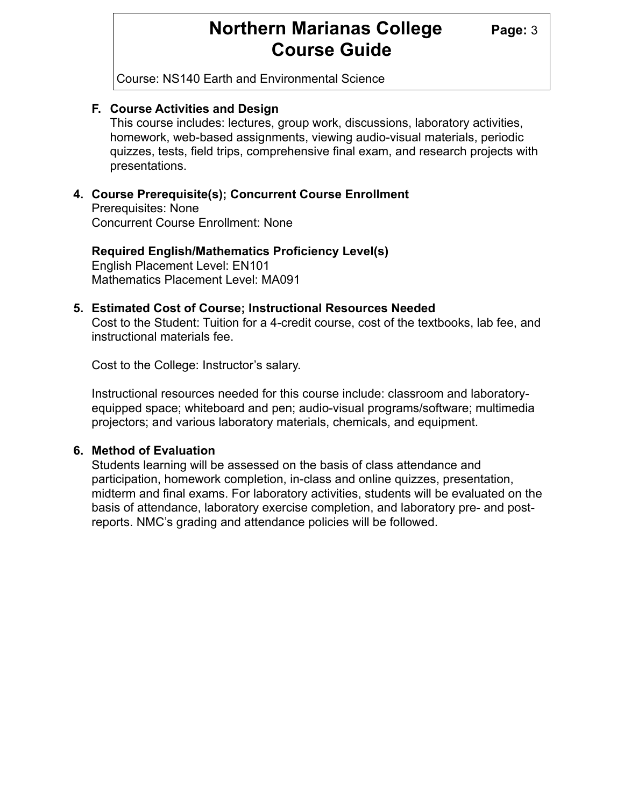# **Northern Marianas College** Page: 3 **Course Guide**

Course: NS140 Earth and Environmental Science

#### **F. Course Activities and Design**

This course includes: lectures, group work, discussions, laboratory activities, homework, web-based assignments, viewing audio-visual materials, periodic quizzes, tests, field trips, comprehensive final exam, and research projects with presentations.

### **4. Course Prerequisite(s); Concurrent Course Enrollment**

Prerequisites: None Concurrent Course Enrollment: None

**Required English/Mathematics Proficiency Level(s)** English Placement Level: EN101

Mathematics Placement Level: MA091

#### **5. Estimated Cost of Course; Instructional Resources Needed**

Cost to the Student: Tuition for a 4-credit course, cost of the textbooks, lab fee, and instructional materials fee.

Cost to the College: Instructor's salary.

Instructional resources needed for this course include: classroom and laboratoryequipped space; whiteboard and pen; audio-visual programs/software; multimedia projectors; and various laboratory materials, chemicals, and equipment.

#### **6. Method of Evaluation**

Students learning will be assessed on the basis of class attendance and participation, homework completion, in-class and online quizzes, presentation, midterm and final exams. For laboratory activities, students will be evaluated on the basis of attendance, laboratory exercise completion, and laboratory pre- and postreports. NMC's grading and attendance policies will be followed.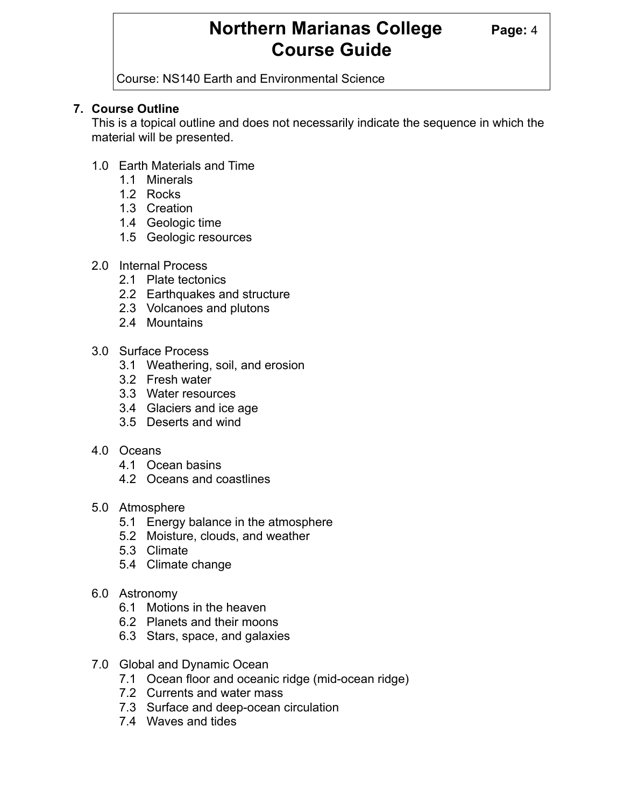# **Northern Marianas College Page: 4 Course Guide**

Course: NS140 Earth and Environmental Science

# **7. Course Outline**

This is a topical outline and does not necessarily indicate the sequence in which the material will be presented.

- 1.0 Earth Materials and Time
	- 1.1 Minerals
	- 1.2 Rocks
	- 1.3 Creation
	- 1.4 Geologic time
	- 1.5 Geologic resources
- 2.0 Internal Process
	- 2.1 Plate tectonics
	- 2.2 Earthquakes and structure
	- 2.3 Volcanoes and plutons
	- 2.4 Mountains
- 3.0 Surface Process
	- 3.1 Weathering, soil, and erosion
	- 3.2 Fresh water
	- 3.3 Water resources
	- 3.4 Glaciers and ice age
	- 3.5 Deserts and wind
- 4.0 Oceans
	- 4.1 Ocean basins
	- 4.2 Oceans and coastlines
- 5.0 Atmosphere
	- 5.1 Energy balance in the atmosphere
	- 5.2 Moisture, clouds, and weather
	- 5.3 Climate
	- 5.4 Climate change
- 6.0 Astronomy
	- 6.1 Motions in the heaven
	- 6.2 Planets and their moons
	- 6.3 Stars, space, and galaxies
- 7.0 Global and Dynamic Ocean
	- 7.1 Ocean floor and oceanic ridge (mid-ocean ridge)
	- 7.2 Currents and water mass
	- 7.3 Surface and deep-ocean circulation
	- 7.4 Waves and tides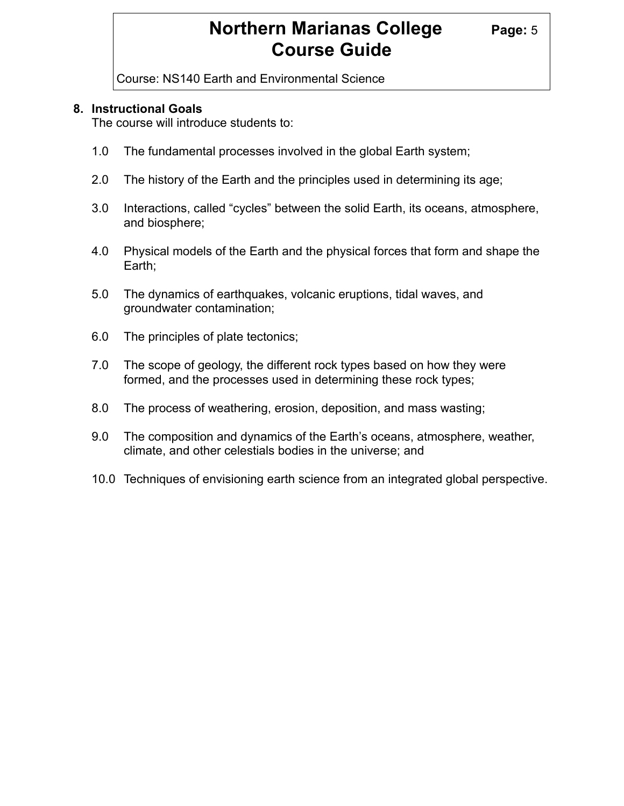# **Northern Marianas College Page: 5 Course Guide**

Course: NS140 Earth and Environmental Science

#### **8. Instructional Goals**

The course will introduce students to:

- 1.0 The fundamental processes involved in the global Earth system;
- 2.0 The history of the Earth and the principles used in determining its age;
- 3.0 Interactions, called "cycles" between the solid Earth, its oceans, atmosphere, and biosphere;
- 4.0 Physical models of the Earth and the physical forces that form and shape the Earth;
- 5.0 The dynamics of earthquakes, volcanic eruptions, tidal waves, and groundwater contamination;
- 6.0 The principles of plate tectonics;
- 7.0 The scope of geology, the different rock types based on how they were formed, and the processes used in determining these rock types;
- 8.0 The process of weathering, erosion, deposition, and mass wasting;
- 9.0 The composition and dynamics of the Earth's oceans, atmosphere, weather, climate, and other celestials bodies in the universe; and
- 10.0 Techniques of envisioning earth science from an integrated global perspective.